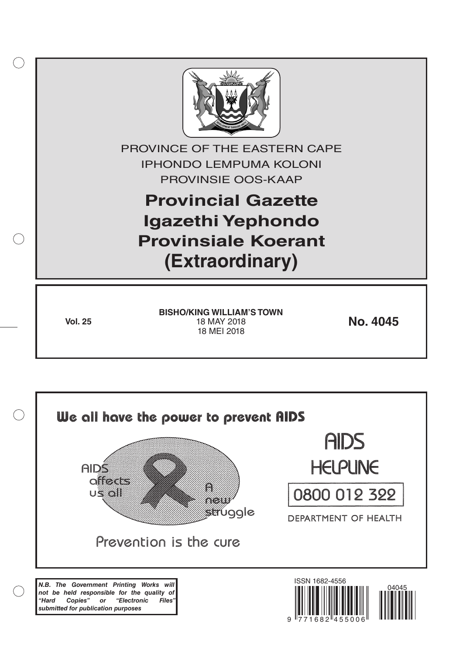

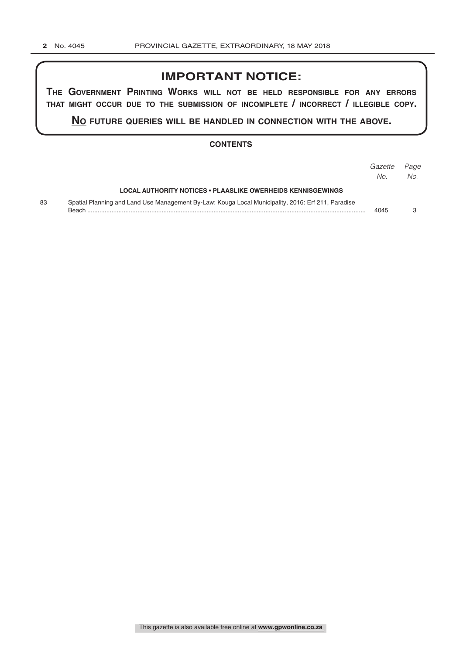# **IMPORTANT NOTICE:**

**The GovernmenT PrinTinG Works Will noT be held resPonsible for any errors ThaT miGhT occur due To The submission of incomPleTe / incorrecT / illeGible coPy.**

**no fuTure queries Will be handled in connecTion WiTh The above.**

# **CONTENTS**

|    |                                                                                                                    | Gazette<br>No. | Page<br>No. |
|----|--------------------------------------------------------------------------------------------------------------------|----------------|-------------|
|    | LOCAL AUTHORITY NOTICES • PLAASLIKE OWERHEIDS KENNISGEWINGS                                                        |                |             |
| 83 | Spatial Planning and Land Use Management By-Law: Kouga Local Municipality, 2016: Erf 211, Paradise<br><b>Beach</b> | 4045           |             |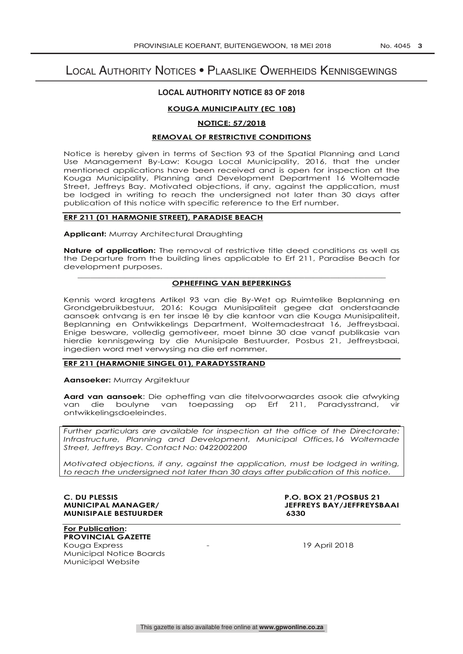# Local Authority Notices • Plaaslike Owerheids Kennisgewings

## **LOCAL AUTHORITY NOTICE 83 OF 2018**

### **KOUGA MUNICIPALITY (EC 108)**

#### **NOTICE: 57/2018**

#### **REMOVAL OF RESTRICTIVE CONDITIONS**

Notice is hereby given in terms of Section 93 of the Spatial Planning and Land Use Management By-Law: Kouga Local Municipality, 2016, that the under mentioned applications have been received and is open for inspection at the Kouga Municipality, Planning and Development Department 16 Woltemade Street, Jeffreys Bay. Motivated objections, if any, against the application, must be lodged in writing to reach the undersigned not later than 30 days after publication of this notice with specific reference to the Erf number.

## **ERF 211 (01 HARMONIE STREET), PARADISE BEACH**

**Applicant:** Murray Architectural Draughting

**Nature of application:** The removal of restrictive title deed conditions as well as the Departure from the building lines applicable to Erf 211, Paradise Beach for development purposes.

#### \_\_\_\_\_\_\_\_\_\_\_\_\_\_\_\_\_\_\_\_\_\_\_\_\_\_\_\_\_\_\_\_\_\_\_\_\_\_\_\_\_\_\_\_\_\_\_\_\_\_\_\_\_\_\_\_\_\_\_\_\_\_\_\_\_\_\_\_\_\_\_\_ **OPHEFFING VAN BEPERKINGS**

Kennis word kragtens Artikel 93 van die By-Wet op Ruimtelike Beplanning en Grondgebruikbestuur, 2016: Kouga Munisipaliteit gegee dat onderstaande aansoek ontvang is en ter insae lê by die kantoor van die Kouga Munisipaliteit, Beplanning en Ontwikkelings Department, Woltemadestraat 16, Jeffreysbaai. Enige besware, volledig gemotiveer, moet binne 30 dae vanaf publikasie van hierdie kennisgewing by die Munisipale Bestuurder, Posbus 21, Jeffreysbaai, ingedien word met verwysing na die erf nommer.

#### **ERF 211 (HARMONIE SINGEL 01), PARADYSSTRAND**

**Aansoeker:** Murray Argitektuur

**Aard van aansoek**: Die opheffing van die titelvoorwaardes asook die afwyking van die boulyne van toepassing op Erf 211, Paradysstrand, vir ontwikkelingsdoeleindes.

*Further particulars are available for inspection at the office of the Directorate: Infrastructure, Planning and Development, Municipal Offices,16 Woltemade Street, Jeffreys Bay. Contact No: 0422002200*

*Motivated objections, if any, against the application, must be lodged in writing, to reach the undersigned not later than 30 days after publication of this notice.*

# **MUNISIPALE BESTUURDER 6330**

**C. DU PLESSIS P.O. BOX 21/POSBUS 21 JEFFREYS BAY/JEFFREYSBAAI** 

**For Publication: PROVINCIAL GAZETTE** Kouga Express The County of the County of the County of the 19 April 2018

Municipal Notice Boards Municipal Website